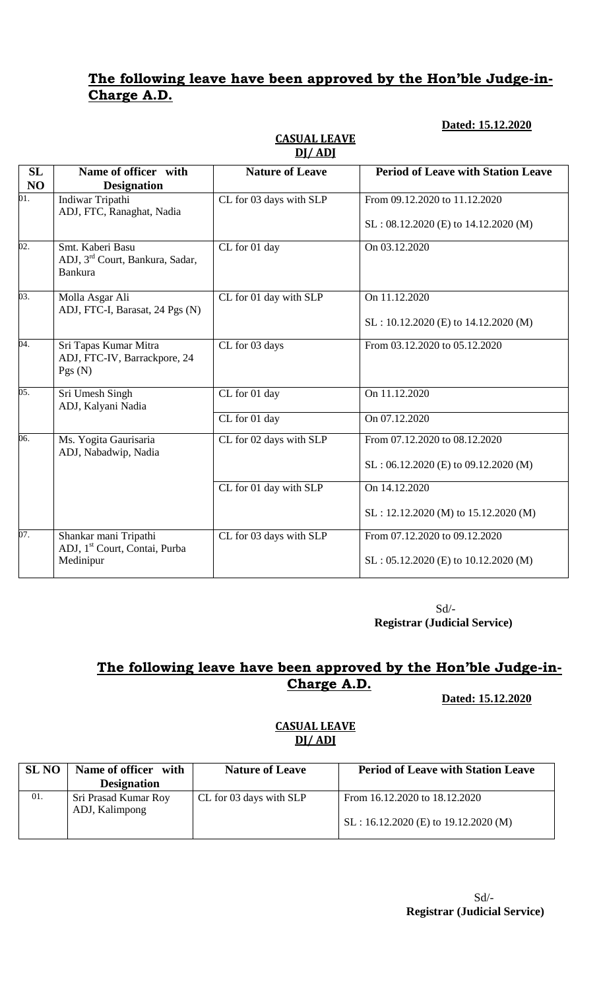## **The following leave have been approved by the Hon'ble Judge-in-Charge A.D.**

### **Dated: 15.12.2020**

| SL<br>N <sub>O</sub> | Name of officer with<br><b>Designation</b>                                        | <b>Nature of Leave</b>  | <b>Period of Leave with Station Leave</b> |
|----------------------|-----------------------------------------------------------------------------------|-------------------------|-------------------------------------------|
| 01.                  | Indiwar Tripathi<br>ADJ, FTC, Ranaghat, Nadia                                     | CL for 03 days with SLP | From 09.12.2020 to 11.12.2020             |
|                      |                                                                                   |                         | $SL: 08.12.2020$ (E) to $14.12.2020$ (M)  |
| $\overline{02}$ .    | Smt. Kaberi Basu<br>ADJ, 3 <sup>rd</sup> Court, Bankura, Sadar,<br><b>Bankura</b> | CL for 01 day           | On 03.12.2020                             |
| 03.                  | Molla Asgar Ali<br>ADJ, FTC-I, Barasat, 24 Pgs (N)                                | CL for 01 day with SLP  | On 11.12.2020                             |
|                      |                                                                                   |                         | $SL: 10.12.2020$ (E) to $14.12.2020$ (M)  |
| 04.                  | Sri Tapas Kumar Mitra<br>ADJ, FTC-IV, Barrackpore, 24<br>Pgs(N)                   | CL for 03 days          | From 03.12.2020 to 05.12.2020             |
| $\overline{05}$ .    | Sri Umesh Singh<br>ADJ, Kalyani Nadia                                             | CL for 01 day           | On 11.12.2020                             |
|                      |                                                                                   | CL for 01 day           | On 07.12.2020                             |
| 06.                  | Ms. Yogita Gaurisaria<br>ADJ, Nabadwip, Nadia                                     | CL for 02 days with SLP | From 07.12.2020 to 08.12.2020             |
|                      |                                                                                   |                         | $SL: 06.12.2020$ (E) to 09.12.2020 (M)    |
|                      |                                                                                   | CL for 01 day with SLP  | On 14.12.2020                             |
|                      |                                                                                   |                         | SL: 12.12.2020 (M) to 15.12.2020 (M)      |
| 07.                  | Shankar mani Tripathi<br>ADJ, 1 <sup>st</sup> Court, Contai, Purba                | CL for 03 days with SLP | From 07.12.2020 to 09.12.2020             |
|                      | Medinipur                                                                         |                         | $SL: 05.12.2020$ (E) to 10.12.2020 (M)    |

#### **CASUAL LEAVE DJ/ ADJ**

 Sd/- **Registrar (Judicial Service)**

# **The following leave have been approved by the Hon'ble Judge-in-Charge A.D.**

**Dated: 15.12.2020**

### **CASUAL LEAVE DJ/ ADJ**

| <b>SL NO</b> | Name of officer with | <b>Nature of Leave</b>  | <b>Period of Leave with Station Leave</b> |
|--------------|----------------------|-------------------------|-------------------------------------------|
|              | <b>Designation</b>   |                         |                                           |
| 01.          | Sri Prasad Kumar Roy | CL for 03 days with SLP | From 16.12.2020 to 18.12.2020             |
|              | ADJ, Kalimpong       |                         |                                           |
|              |                      |                         | $SL: 16.12.2020$ (E) to 19.12.2020 (M)    |
|              |                      |                         |                                           |